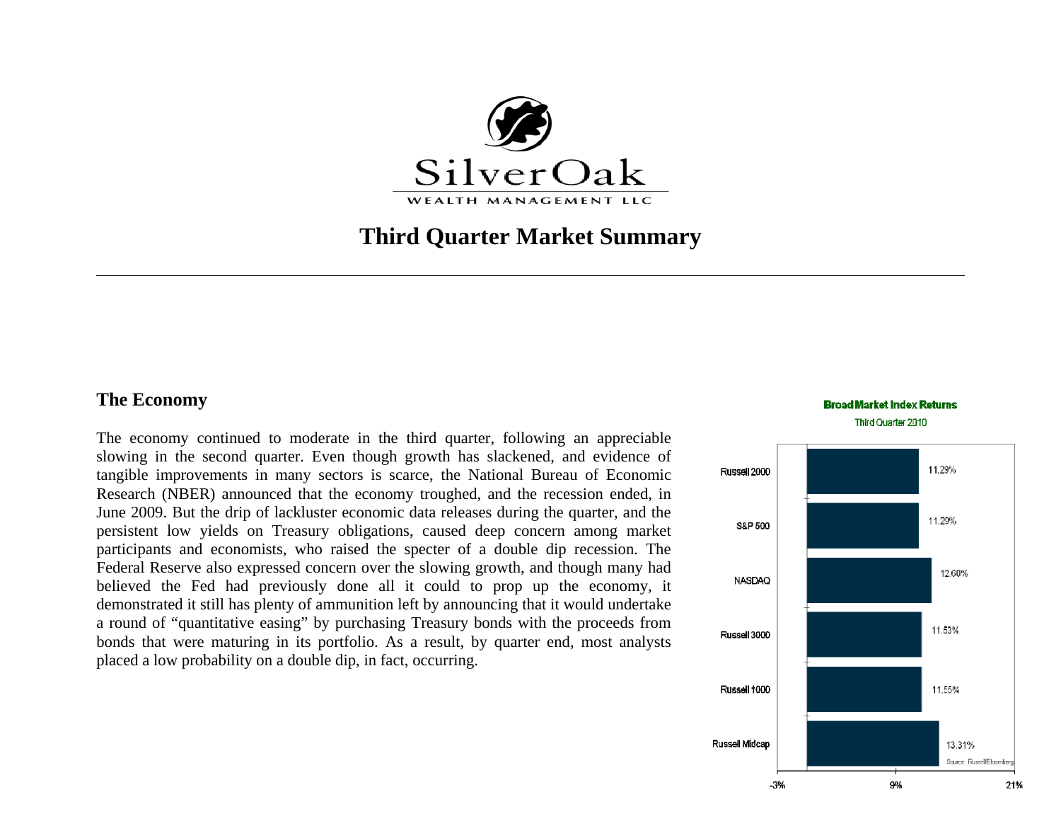

# **Third Quarter Market Summary**

## **The Economy**

The economy continued to moderate in the third quarter, following an appreciable slowing in the second quarter. Even though growth has slackened, and evidence of tangible improvements in many sectors is scarce, the National Bureau of Economic Research (NBER) announced that the economy troughed, and the recession ended, in June 2009. But the drip of lackluster economic data releases during the quarter, and the persistent low yields on Treasury obligations, caused deep concern among market participants and economists, who raised the specter of a double dip recession. The Federal Reserve also expressed concern over the slowing growth, and though many had believed the Fed had previously done all it could to prop up the economy, it demonstrated it still has plenty of ammunition left by announcing that it would undertake a round of "quantitative easing" by purchasing Treasury bonds with the proceeds from bonds that were maturing in its portfolio. As a result, by quarter end, most analysts placed a low probability on a double dip, in fact, occurring.

#### **Broad Market Index Returns** Third Quarter 2010

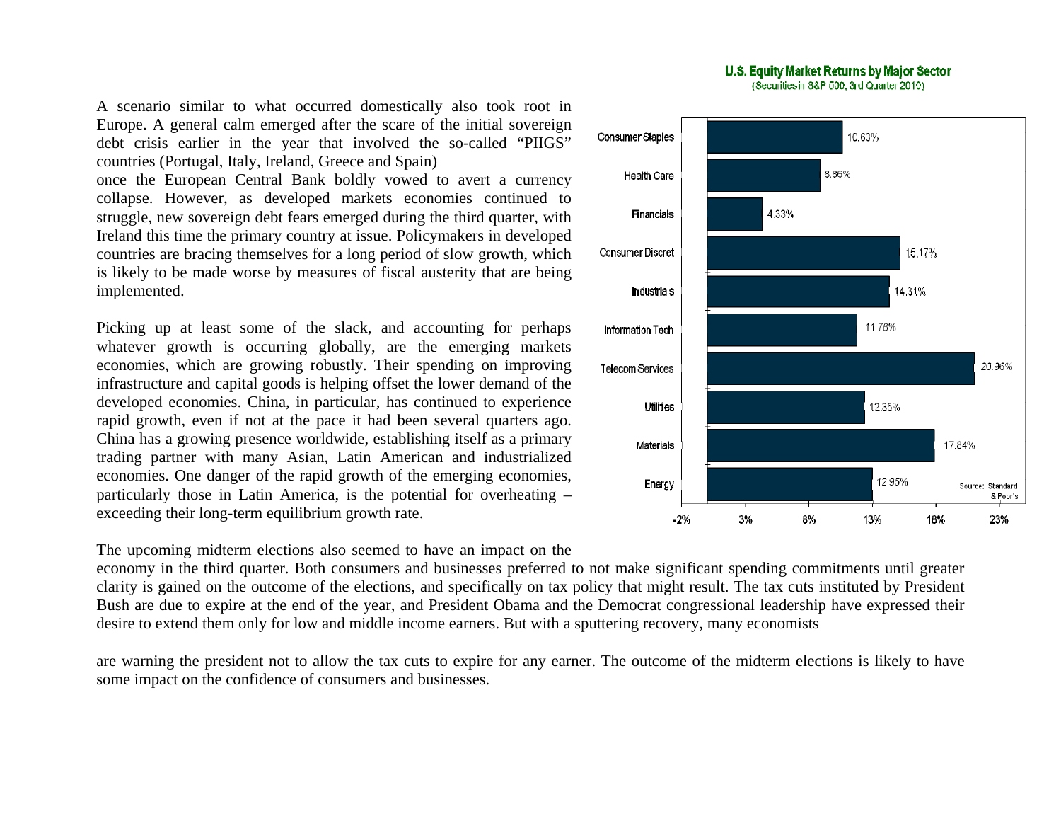A scenario similar to what occurred domestically also took root in Europe. A general calm emerged after the scare of the initial sovereign debt crisis earlier in the year that involved the so-called "PIIGS" countries (Portugal, Italy, Ireland, Greece and Spain)

once the European Central Bank boldly vowed to avert a currency collapse. However, as developed markets economies continued to struggle, new sovereign debt fears emerged during the third quarter, with Ireland this time the primary country at issue. Policymakers in developed countries are bracing themselves for a long period of slow growth, which is likely to be made worse by measures of fiscal austerity that are being implemented.

Picking up at least some of the slack, and accounting for perhaps whatever growth is occurring globally, are the emerging markets economies, which are growing robustly. Their spending on improving infrastructure and capital goods is helping offset the lower demand of the developed economies. China, in particular, has continued to experience rapid growth, even if not at the pace it had been several quarters ago. China has a growing presence worldwide, establishing itself as a primary trading partner with many Asian, Latin American and industrialized economies. One danger of the rapid growth of the emerging economies, particularly those in Latin America, is the potential for overheating – exceeding their long-term equilibrium growth rate.

The upcoming midterm elections also seemed to have an impact on the

economy in the third quarter. Both consumers and businesses preferred to not make significant spending commitments until greater clarity is gained on the outcome of the elections, and specifically on tax policy that might result. The tax cuts instituted by President Bush are due to expire at the end of the year, and President Obama and the Democrat congressional leadership have expressed their desire to extend them only for low and middle income earners. But with a sputtering recovery, many economists

are warning the president not to allow the tax cuts to expire for any earner. The outcome of the midterm elections is likely to have some impact on the confidence of consumers and businesses.

#### U.S. Equity Market Returns by Major Sector (Securities in S&P 500, 3rd Quarter 2010)

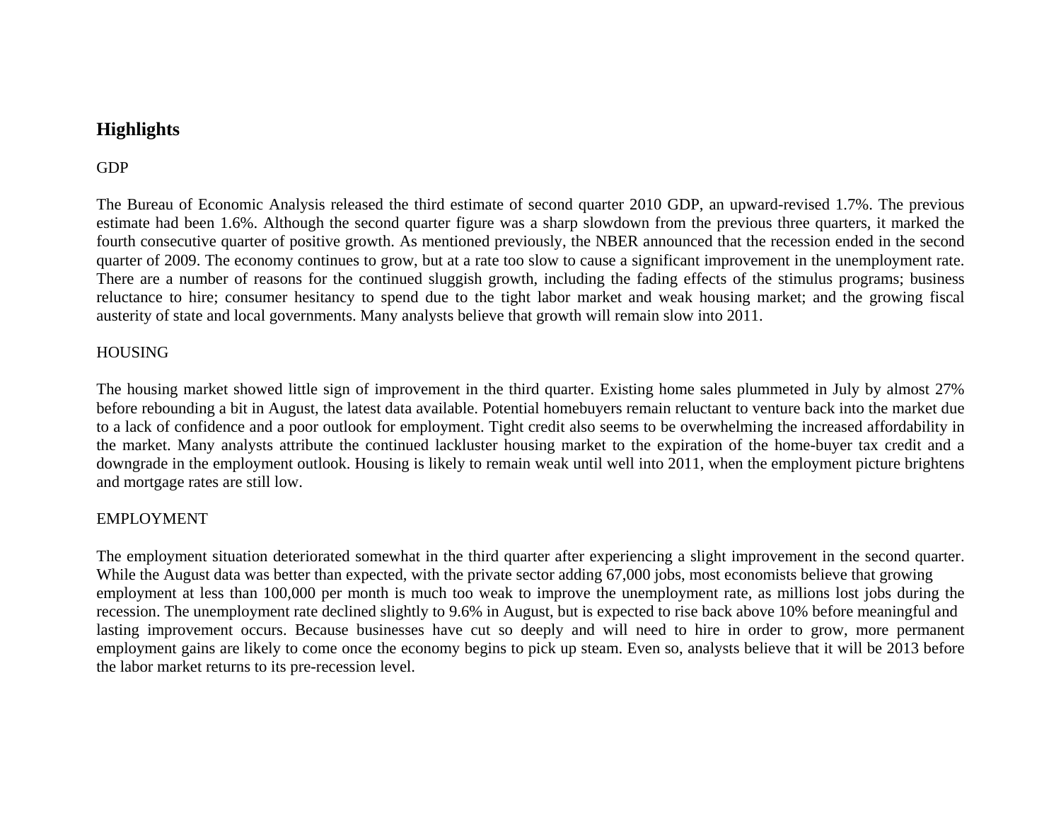# **Highlights**

# GDP

The Bureau of Economic Analysis released the third estimate of second quarter 2010 GDP, an upward-revised 1.7%. The previous estimate had been 1.6%. Although the second quarter figure was a sharp slowdown from the previous three quarters, it marked the fourth consecutive quarter of positive growth. As mentioned previously, the NBER announced that the recession ended in the second quarter of 2009. The economy continues to grow, but at a rate too slow to cause a significant improvement in the unemployment rate. There are a number of reasons for the continued sluggish growth, including the fading effects of the stimulus programs; business reluctance to hire; consumer hesitancy to spend due to the tight labor market and weak housing market; and the growing fiscal austerity of state and local governments. Many analysts believe that growth will remain slow into 2011.

### HOUSING

The housing market showed little sign of improvement in the third quarter. Existing home sales plummeted in July by almost 27% before rebounding a bit in August, the latest data available. Potential homebuyers remain reluctant to venture back into the market due to a lack of confidence and a poor outlook for employment. Tight credit also seems to be overwhelming the increased affordability in the market. Many analysts attribute the continued lackluster housing market to the expiration of the home-buyer tax credit and a downgrade in the employment outlook. Housing is likely to remain weak until well into 2011, when the employment picture brightens and mortgage rates are still low.

### EMPLOYMENT

The employment situation deteriorated somewhat in the third quarter after experiencing a slight improvement in the second quarter. While the August data was better than expected, with the private sector adding 67,000 jobs, most economists believe that growing employment at less than 100,000 per month is much too weak to improve the unemployment rate, as millions lost jobs during the recession. The unemployment rate declined slightly to 9.6% in August, but is expected to rise back above 10% before meaningful and lasting improvement occurs. Because businesses have cut so deeply and will need to hire in order to grow, more permanent employment gains are likely to come once the economy begins to pick up steam. Even so, analysts believe that it will be 2013 before the labor market returns to its pre-recession level.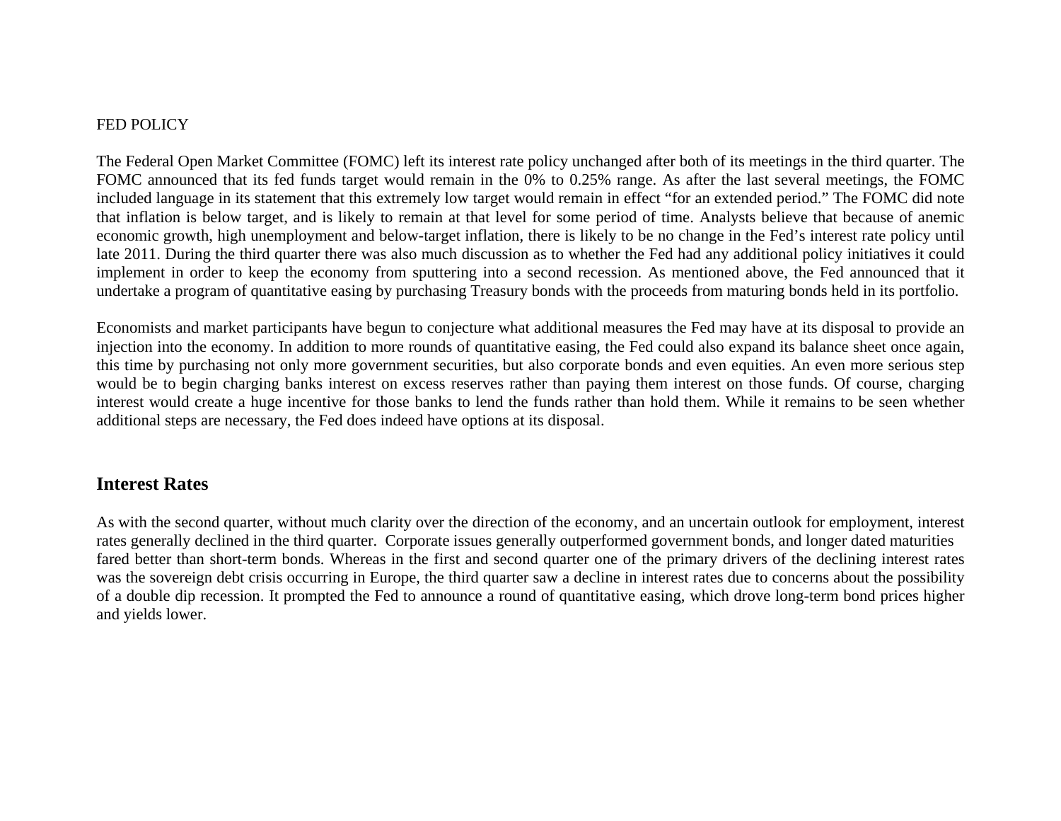#### FED POLICY

The Federal Open Market Committee (FOMC) left its interest rate policy unchanged after both of its meetings in the third quarter. The FOMC announced that its fed funds target would remain in the 0% to 0.25% range. As after the last several meetings, the FOMC included language in its statement that this extremely low target would remain in effect "for an extended period." The FOMC did note that inflation is below target, and is likely to remain at that level for some period of time. Analysts believe that because of anemic economic growth, high unemployment and below-target inflation, there is likely to be no change in the Fed's interest rate policy until late 2011. During the third quarter there was also much discussion as to whether the Fed had any additional policy initiatives it could implement in order to keep the economy from sputtering into a second recession. As mentioned above, the Fed announced that it undertake a program of quantitative easing by purchasing Treasury bonds with the proceeds from maturing bonds held in its portfolio.

Economists and market participants have begun to conjecture what additional measures the Fed may have at its disposal to provide an injection into the economy. In addition to more rounds of quantitative easing, the Fed could also expand its balance sheet once again, this time by purchasing not only more government securities, but also corporate bonds and even equities. An even more serious step would be to begin charging banks interest on excess reserves rather than paying them interest on those funds. Of course, charging interest would create a huge incentive for those banks to lend the funds rather than hold them. While it remains to be seen whether additional steps are necessary, the Fed does indeed have options at its disposal.

## **Interest Rates**

As with the second quarter, without much clarity over the direction of the economy, and an uncertain outlook for employment, interest rates generally declined in the third quarter. Corporate issues generally outperformed government bonds, and longer dated maturities fared better than short-term bonds. Whereas in the first and second quarter one of the primary drivers of the declining interest rates was the sovereign debt crisis occurring in Europe, the third quarter saw a decline in interest rates due to concerns about the possibility of a double dip recession. It prompted the Fed to announce a round of quantitative easing, which drove long-term bond prices higher and yields lower.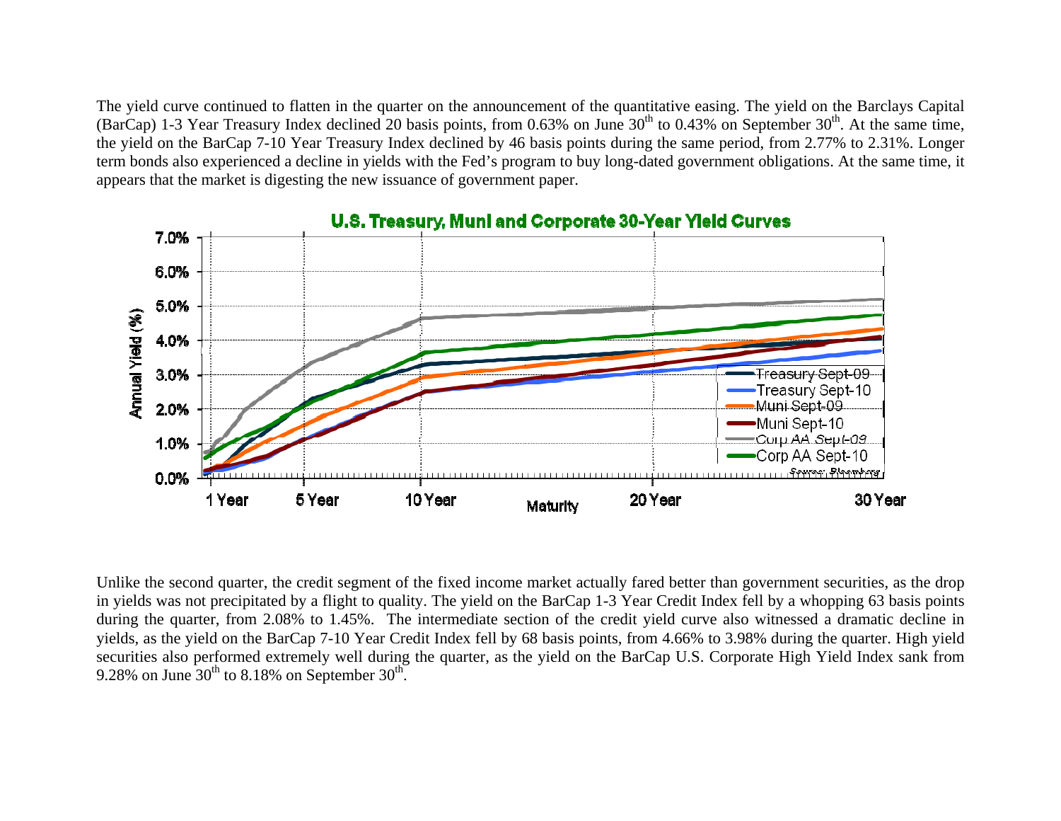The yield curve continued to flatten in the quarter on the announcement of the quantitative easing. The yield on the Barclays Capital (BarCap) 1-3 Year Treasury Index declined 20 basis points, from 0.63% on June  $30<sup>th</sup>$  to 0.43% on September  $30<sup>th</sup>$ . At the same time, the yield on the BarCap 7-10 Year Treasury Index declined by 46 basis points during the same period, from 2.77% to 2.31%. Longer term bonds also experienced a decline in yields with the Fed's program to buy long-dated government obligations. At the same time, it appears that the market is digesting the new issuance of government paper.



#### Unlike the second quarter, the credit segment of the fixed income market actually fared better than government securities, as the drop in yields was not precipitated by a flight to quality. The yield on the BarCap 1-3 Year Credit Index fell by a whopping 63 basis points during the quarter, from 2.08% to 1.45%. The intermediate section of the credit yield curve also witnessed a dramatic decline in yields, as the yield on the BarCap 7-10 Year Credit Index fell by 68 basis points, from 4.66% to 3.98% during the quarter. High yield securities also performed extremely well during the quarter, as the yield on the BarCap U.S. Corporate High Yield Index sank from 9.28% on June  $30^{th}$  to 8.18% on September  $30^{th}$ .